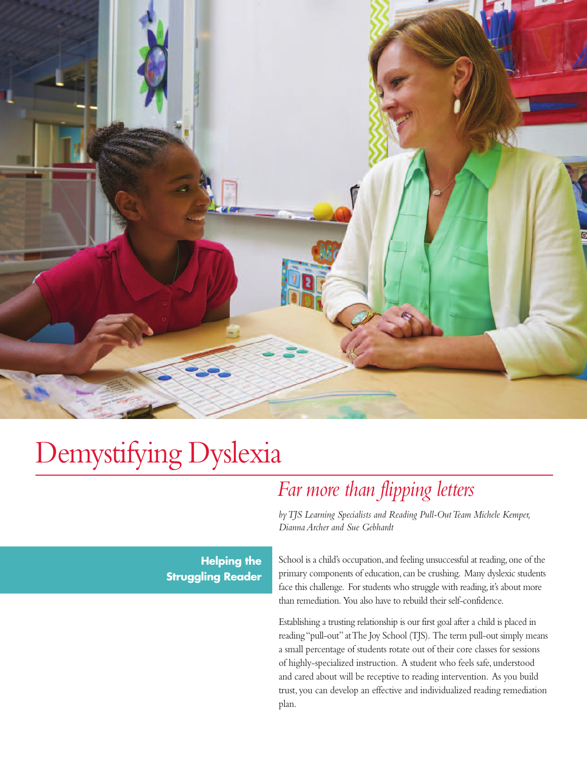

# Demystifying Dyslexia

# *Far more than flipping letters*

*byTJS Learning Specialists and Reading Pull-OutTeam Michele Kemper, Dianna Archer and Sue Gebhardt*

**Helping the Struggling Reader** School is a child's occupation, and feeling unsuccessful at reading, one of the primary components of education, can be crushing. Many dyslexic students face this challenge. For students who struggle with reading, it's about more than remediation. You also have to rebuild their self-confidence.

Establishing a trusting relationship is our first goal after a child is placed in reading "pull-out" at The Joy School (TJS). The term pull-out simply means a small percentage of students rotate out of their core classes for sessions of highly-specialized instruction. A student who feels safe, understood and cared about will be receptive to reading intervention. As you build trust, you can develop an effective and individualized reading remediation plan.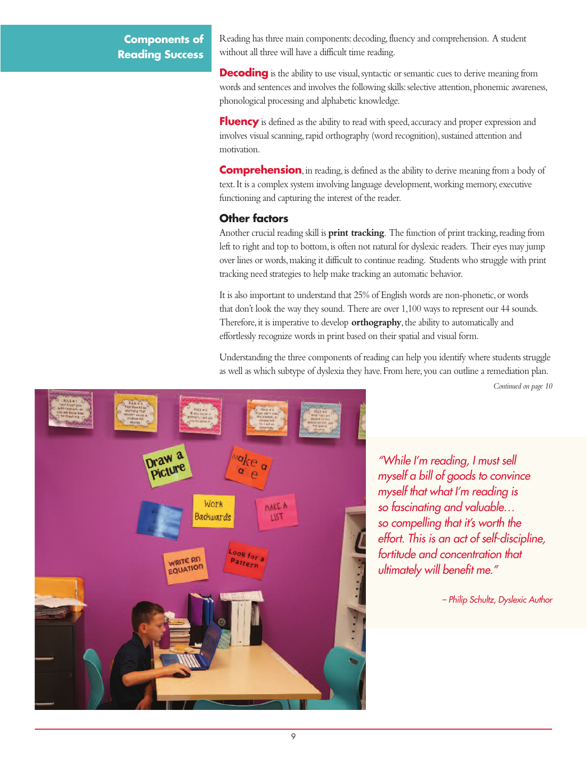## **Components of Reading Success**

Reading has three main components: decoding, fluency and comprehension. A student without all three will have a difficult time reading.

**Decoding** is the ability to use visual, syntactic or semantic cues to derive meaning from words and sentences and involves the following skills: selective attention, phonemic awareness, phonological processing and alphabetic knowledge.

**Fluency** is defined as the ability to read with speed, accuracy and proper expression and involves visual scanning, rapid orthography (word recognition), sustained attention and motivation.

**Comprehension**, in reading, is defined as the ability to derive meaning from a body of text.It is a complex system involving language development,working memory, executive functioning and capturing the interest of the reader.

#### **Other factors**

Another crucial reading skill is **print tracking**. The function of print tracking, reading from left to right and top to bottom, is often not natural for dyslexic readers. Their eyes may jump over lines or words,making it difficult to continue reading. Students who struggle with print tracking need strategies to help make tracking an automatic behavior.

It is also important to understand that 25% of English words are non-phonetic,or words that don't look the way they sound. There are over 1,100 ways to represent our 44 sounds. Therefore, it is imperative to develop **orthography**, the ability to automatically and effortlessly recognize words in print based on their spatial and visual form.

Understanding the three components of reading can help you identify where students struggle as well as which subtype of dyslexia they have.From here, you can outline a remediation plan.

*Continued on page 10*



*"While I'm reading, I must sell myself a bill of goods to convince myself that what I'm reading is so fascinating and valuable… so compelling that it's worth the effort. This is an act of self-discipline, fortitude and concentration that ultimately will benefit me."*

*– Philip Schultz, Dyslexic Author*